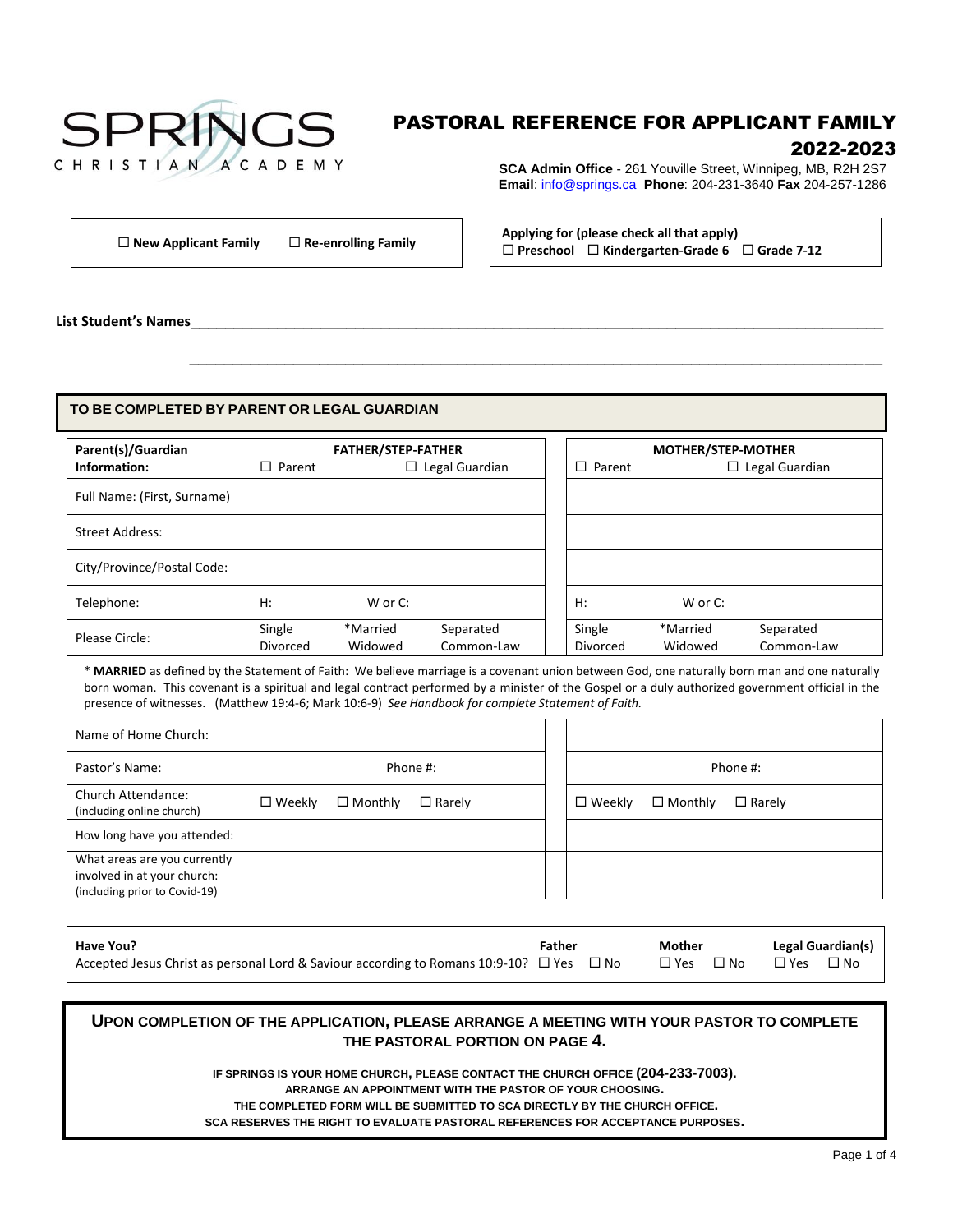# **SPRINGS** CHRISTIAN ACADEMY

# PASTORAL REFERENCE FOR APPLICANT FAMILY 2022-2023

**SCA Admin Office** - 261 Youville Street, Winnipeg, MB, R2H 2S7 **Email**: [info@springs.ca](mailto:info@springs.ca) **Phone**: 204-231-3640 **Fax** 204-257-1286

**Applying for (please check all that apply) Preschool Kindergarten-Grade 6 Grade 7-12 New Applicant Family Re-enrolling Family**

**List Student's Names**\_\_\_\_\_\_\_\_\_\_\_\_\_\_\_\_\_\_\_\_\_\_\_\_\_\_\_\_\_\_\_\_\_\_\_\_\_\_\_\_\_\_\_\_\_\_\_\_\_\_\_\_\_\_\_\_\_\_\_\_\_\_\_\_\_\_\_\_\_\_\_\_\_\_\_\_\_\_\_\_

#### **TO BE COMPLETED BY PARENT OR LEGAL GUARDIAN**

| Parent(s)/Guardian<br>Information: | <b>FATHER/STEP-FATHER</b><br>$\Box$ Legal Guardian<br>$\Box$ Parent |                     |                         | $\Box$ Parent      | <b>MOTHER/STEP-MOTHER</b> | $\Box$ Legal Guardian   |
|------------------------------------|---------------------------------------------------------------------|---------------------|-------------------------|--------------------|---------------------------|-------------------------|
| Full Name: (First, Surname)        |                                                                     |                     |                         |                    |                           |                         |
| Street Address:                    |                                                                     |                     |                         |                    |                           |                         |
| City/Province/Postal Code:         |                                                                     |                     |                         |                    |                           |                         |
| Telephone:                         | H:                                                                  | W or C:             |                         | H:                 | W or C:                   |                         |
| Please Circle:                     | Single<br><b>Divorced</b>                                           | *Married<br>Widowed | Separated<br>Common-Law | Single<br>Divorced | *Married<br>Widowed       | Separated<br>Common-Law |

 $\frac{1}{2}$  ,  $\frac{1}{2}$  ,  $\frac{1}{2}$  ,  $\frac{1}{2}$  ,  $\frac{1}{2}$  ,  $\frac{1}{2}$  ,  $\frac{1}{2}$  ,  $\frac{1}{2}$  ,  $\frac{1}{2}$  ,  $\frac{1}{2}$  ,  $\frac{1}{2}$  ,  $\frac{1}{2}$  ,  $\frac{1}{2}$  ,  $\frac{1}{2}$  ,  $\frac{1}{2}$  ,  $\frac{1}{2}$  ,  $\frac{1}{2}$  ,  $\frac{1}{2}$  ,  $\frac{1$ 

\* **MARRIED** as defined by the Statement of Faith: We believe marriage is a covenant union between God, one naturally born man and one naturally born woman. This covenant is a spiritual and legal contract performed by a minister of the Gospel or a duly authorized government official in the presence of witnesses. (Matthew 19:4-6; Mark 10:6-9) *See Handbook for complete Statement of Faith.*

| Name of Home Church:                                                                         |                  |                   |               |                  |                |               |
|----------------------------------------------------------------------------------------------|------------------|-------------------|---------------|------------------|----------------|---------------|
| Pastor's Name:                                                                               |                  |                   | Phone #:      |                  |                | Phone #:      |
| <b>Church Attendance:</b><br>(including online church)                                       | $\square$ Weekly | $\square$ Monthly | $\Box$ Rarely | $\square$ Weekly | $\Box$ Monthly | $\Box$ Rarely |
| How long have you attended:                                                                  |                  |                   |               |                  |                |               |
| What areas are you currently<br>involved in at your church:<br>(including prior to Covid-19) |                  |                   |               |                  |                |               |

| Have You?                                                                                          | Father | Mother     |               | Legal Guardian(s) |
|----------------------------------------------------------------------------------------------------|--------|------------|---------------|-------------------|
| Accepted Jesus Christ as personal Lord & Saviour according to Romans 10:9-10? $\Box$ Yes $\Box$ No |        | □ Yes □ No | $\square$ Yes | $\Box$ No         |

# **UPON COMPLETION OF THE APPLICATION, PLEASE ARRANGE A MEETING WITH YOUR PASTOR TO COMPLETE THE PASTORAL PORTION ON PAGE 4.**

**IF SPRINGS IS YOUR HOME CHURCH, PLEASE CONTACT THE CHURCH OFFICE (204-233-7003).**

**ARRANGE AN APPOINTMENT WITH THE PASTOR OF YOUR CHOOSING.**

**THE COMPLETED FORM WILL BE SUBMITTED TO SCA DIRECTLY BY THE CHURCH OFFICE.**

**SCA RESERVES THE RIGHT TO EVALUATE PASTORAL REFERENCES FOR ACCEPTANCE PURPOSES.**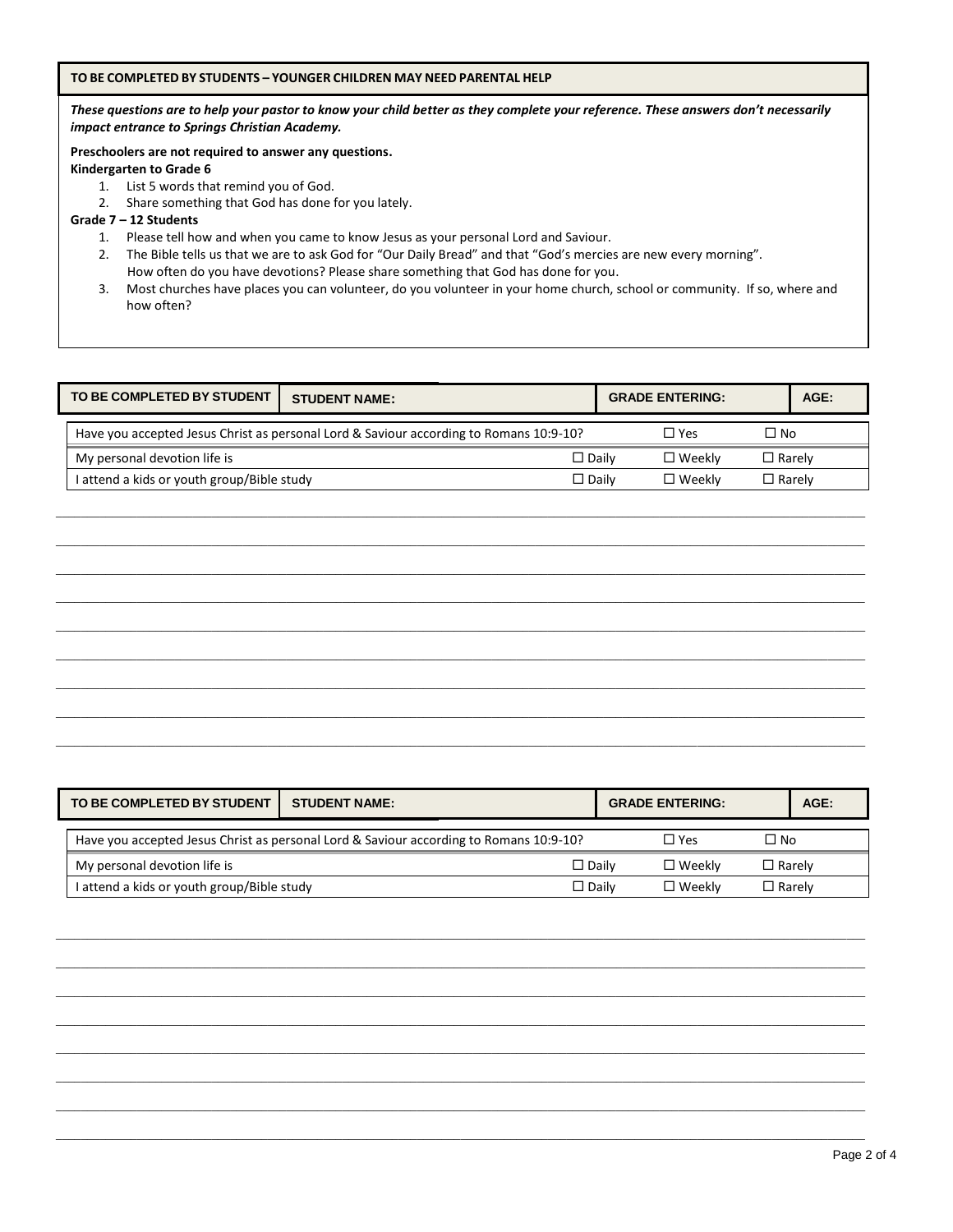#### **TO BE COMPLETED BY STUDENTS – YOUNGER CHILDREN MAY NEED PARENTAL HELP**

*These questions are to help your pastor to know your child better as they complete your reference. These answers don't necessarily impact entrance to Springs Christian Academy.*

### **Preschoolers are not required to answer any questions.**

**Kindergarten to Grade 6**

- 1. List 5 words that remind you of God.
- 2. Share something that God has done for you lately.

#### **Grade 7 – 12 Students**

- 1. Please tell how and when you came to know Jesus as your personal Lord and Saviour.
- 2. The Bible tells us that we are to ask God for "Our Daily Bread" and that "God's mercies are new every morning". How often do you have devotions? Please share something that God has done for you.
- 3. Most churches have places you can volunteer, do you volunteer in your home church, school or community. If so, where and how often?

| TO BE COMPLETED BY STUDENT                 | <b>STUDENT NAME:</b>                                                                   | <b>GRADE ENTERING:</b>           | $AGE$ :       |
|--------------------------------------------|----------------------------------------------------------------------------------------|----------------------------------|---------------|
|                                            | Have you accepted Jesus Christ as personal Lord & Saviour according to Romans 10:9-10? | $\Box$ Yes                       | □ No          |
| My personal devotion life is               |                                                                                        | $\square$ Weekly<br>$\Box$ Daily | $\Box$ Rarely |
| I attend a kids or youth group/Bible study |                                                                                        | $\square$ Weekly<br>$\Box$ Dailv | $\Box$ Rarely |

\_\_\_\_\_\_\_\_\_\_\_\_\_\_\_\_\_\_\_\_\_\_\_\_\_\_\_\_\_\_\_\_\_\_\_\_\_\_\_\_\_\_\_\_\_\_\_\_\_\_\_\_\_\_\_\_\_\_\_\_\_\_\_\_\_\_\_\_\_\_\_\_\_\_\_\_\_\_\_\_\_\_\_\_\_\_\_\_\_\_\_\_\_\_\_\_\_\_\_\_\_\_\_\_\_\_\_\_\_\_\_\_\_\_\_\_\_\_\_\_\_\_\_\_\_\_\_\_\_\_  $\bot$  , and the set of the set of the set of the set of the set of the set of the set of the set of the set of the set of the set of the set of the set of the set of the set of the set of the set of the set of the set of t \_\_\_\_\_\_\_\_\_\_\_\_\_\_\_\_\_\_\_\_\_\_\_\_\_\_\_\_\_\_\_\_\_\_\_\_\_\_\_\_\_\_\_\_\_\_\_\_\_\_\_\_\_\_\_\_\_\_\_\_\_\_\_\_\_\_\_\_\_\_\_\_\_\_\_\_\_\_\_\_\_\_\_\_\_\_\_\_\_\_\_\_\_\_\_\_\_\_\_\_\_\_\_\_\_\_\_\_\_\_\_\_\_\_\_\_\_\_\_\_\_\_\_\_\_\_\_\_\_\_ \_\_\_\_\_\_\_\_\_\_\_\_\_\_\_\_\_\_\_\_\_\_\_\_\_\_\_\_\_\_\_\_\_\_\_\_\_\_\_\_\_\_\_\_\_\_\_\_\_\_\_\_\_\_\_\_\_\_\_\_\_\_\_\_\_\_\_\_\_\_\_\_\_\_\_\_\_\_\_\_\_\_\_\_\_\_\_\_\_\_\_\_\_\_\_\_\_\_\_\_\_\_\_\_\_\_\_\_\_\_\_\_\_\_\_\_\_\_\_\_\_\_\_\_\_\_\_\_\_\_ \_\_\_\_\_\_\_\_\_\_\_\_\_\_\_\_\_\_\_\_\_\_\_\_\_\_\_\_\_\_\_\_\_\_\_\_\_\_\_\_\_\_\_\_\_\_\_\_\_\_\_\_\_\_\_\_\_\_\_\_\_\_\_\_\_\_\_\_\_\_\_\_\_\_\_\_\_\_\_\_\_\_\_\_\_\_\_\_\_\_\_\_\_\_\_\_\_\_\_\_\_\_\_\_\_\_\_\_\_\_\_\_\_\_\_\_\_\_\_\_\_\_\_\_\_\_\_\_\_\_ \_\_\_\_\_\_\_\_\_\_\_\_\_\_\_\_\_\_\_\_\_\_\_\_\_\_\_\_\_\_\_\_\_\_\_\_\_\_\_\_\_\_\_\_\_\_\_\_\_\_\_\_\_\_\_\_\_\_\_\_\_\_\_\_\_\_\_\_\_\_\_\_\_\_\_\_\_\_\_\_\_\_\_\_\_\_\_\_\_\_\_\_\_\_\_\_\_\_\_\_\_\_\_\_\_\_\_\_\_\_\_\_\_\_\_\_\_\_\_\_\_\_\_\_\_\_\_\_\_\_ \_\_\_\_\_\_\_\_\_\_\_\_\_\_\_\_\_\_\_\_\_\_\_\_\_\_\_\_\_\_\_\_\_\_\_\_\_\_\_\_\_\_\_\_\_\_\_\_\_\_\_\_\_\_\_\_\_\_\_\_\_\_\_\_\_\_\_\_\_\_\_\_\_\_\_\_\_\_\_\_\_\_\_\_\_\_\_\_\_\_\_\_\_\_\_\_\_\_\_\_\_\_\_\_\_\_\_\_\_\_\_\_\_\_\_\_\_\_\_\_\_\_\_\_\_\_\_\_\_\_ \_\_\_\_\_\_\_\_\_\_\_\_\_\_\_\_\_\_\_\_\_\_\_\_\_\_\_\_\_\_\_\_\_\_\_\_\_\_\_\_\_\_\_\_\_\_\_\_\_\_\_\_\_\_\_\_\_\_\_\_\_\_\_\_\_\_\_\_\_\_\_\_\_\_\_\_\_\_\_\_\_\_\_\_\_\_\_\_\_\_\_\_\_\_\_\_\_\_\_\_\_\_\_\_\_\_\_\_\_\_\_\_\_\_\_\_\_\_\_\_\_\_\_\_\_\_\_\_\_\_ \_\_\_\_\_\_\_\_\_\_\_\_\_\_\_\_\_\_\_\_\_\_\_\_\_\_\_\_\_\_\_\_\_\_\_\_\_\_\_\_\_\_\_\_\_\_\_\_\_\_\_\_\_\_\_\_\_\_\_\_\_\_\_\_\_\_\_\_\_\_\_\_\_\_\_\_\_\_\_\_\_\_\_\_\_\_\_\_\_\_\_\_\_\_\_\_\_\_\_\_\_\_\_\_\_\_\_\_\_\_\_\_\_\_\_\_\_\_\_\_\_\_\_\_\_\_\_\_\_\_

| TO BE COMPLETED BY STUDENT                                                             | <b>STUDENT NAME:</b> | <b>GRADE ENTERING:</b> | $AGE$ :       |
|----------------------------------------------------------------------------------------|----------------------|------------------------|---------------|
| Have you accepted Jesus Christ as personal Lord & Saviour according to Romans 10:9-10? | $\Box$ Yes           | $\Box$ No              |               |
| My personal devotion life is                                                           | $\Box$ Daily         | $\square$ Weekly       | $\Box$ Rarely |
| I attend a kids or youth group/Bible study                                             | $\square$ Daily      | $\square$ Weekly       | $\Box$ Rarely |

\_\_\_\_\_\_\_\_\_\_\_\_\_\_\_\_\_\_\_\_\_\_\_\_\_\_\_\_\_\_\_\_\_\_\_\_\_\_\_\_\_\_\_\_\_\_\_\_\_\_\_\_\_\_\_\_\_\_\_\_\_\_\_\_\_\_\_\_\_\_\_\_\_\_\_\_\_\_\_\_\_\_\_\_\_\_\_\_\_\_\_\_\_\_\_\_\_\_\_\_\_\_\_\_\_\_\_\_\_\_\_\_\_\_\_\_\_\_\_\_\_\_\_\_\_\_\_\_\_\_ \_\_\_\_\_\_\_\_\_\_\_\_\_\_\_\_\_\_\_\_\_\_\_\_\_\_\_\_\_\_\_\_\_\_\_\_\_\_\_\_\_\_\_\_\_\_\_\_\_\_\_\_\_\_\_\_\_\_\_\_\_\_\_\_\_\_\_\_\_\_\_\_\_\_\_\_\_\_\_\_\_\_\_\_\_\_\_\_\_\_\_\_\_\_\_\_\_\_\_\_\_\_\_\_\_\_\_\_\_\_\_\_\_\_\_\_\_\_\_\_\_\_\_\_\_\_\_\_\_\_ \_\_\_\_\_\_\_\_\_\_\_\_\_\_\_\_\_\_\_\_\_\_\_\_\_\_\_\_\_\_\_\_\_\_\_\_\_\_\_\_\_\_\_\_\_\_\_\_\_\_\_\_\_\_\_\_\_\_\_\_\_\_\_\_\_\_\_\_\_\_\_\_\_\_\_\_\_\_\_\_\_\_\_\_\_\_\_\_\_\_\_\_\_\_\_\_\_\_\_\_\_\_\_\_\_\_\_\_\_\_\_\_\_\_\_\_\_\_\_\_\_\_\_\_\_\_\_\_\_\_ \_\_\_\_\_\_\_\_\_\_\_\_\_\_\_\_\_\_\_\_\_\_\_\_\_\_\_\_\_\_\_\_\_\_\_\_\_\_\_\_\_\_\_\_\_\_\_\_\_\_\_\_\_\_\_\_\_\_\_\_\_\_\_\_\_\_\_\_\_\_\_\_\_\_\_\_\_\_\_\_\_\_\_\_\_\_\_\_\_\_\_\_\_\_\_\_\_\_\_\_\_\_\_\_\_\_\_\_\_\_\_\_\_\_\_\_\_\_\_\_\_\_\_\_\_\_\_\_\_\_ \_\_\_\_\_\_\_\_\_\_\_\_\_\_\_\_\_\_\_\_\_\_\_\_\_\_\_\_\_\_\_\_\_\_\_\_\_\_\_\_\_\_\_\_\_\_\_\_\_\_\_\_\_\_\_\_\_\_\_\_\_\_\_\_\_\_\_\_\_\_\_\_\_\_\_\_\_\_\_\_\_\_\_\_\_\_\_\_\_\_\_\_\_\_\_\_\_\_\_\_\_\_\_\_\_\_\_\_\_\_\_\_\_\_\_\_\_\_\_\_\_\_\_\_\_\_\_\_\_\_ \_\_\_\_\_\_\_\_\_\_\_\_\_\_\_\_\_\_\_\_\_\_\_\_\_\_\_\_\_\_\_\_\_\_\_\_\_\_\_\_\_\_\_\_\_\_\_\_\_\_\_\_\_\_\_\_\_\_\_\_\_\_\_\_\_\_\_\_\_\_\_\_\_\_\_\_\_\_\_\_\_\_\_\_\_\_\_\_\_\_\_\_\_\_\_\_\_\_\_\_\_\_\_\_\_\_\_\_\_\_\_\_\_\_\_\_\_\_\_\_\_\_\_\_\_\_\_\_\_\_ \_\_\_\_\_\_\_\_\_\_\_\_\_\_\_\_\_\_\_\_\_\_\_\_\_\_\_\_\_\_\_\_\_\_\_\_\_\_\_\_\_\_\_\_\_\_\_\_\_\_\_\_\_\_\_\_\_\_\_\_\_\_\_\_\_\_\_\_\_\_\_\_\_\_\_\_\_\_\_\_\_\_\_\_\_\_\_\_\_\_\_\_\_\_\_\_\_\_\_\_\_\_\_\_\_\_\_\_\_\_\_\_\_\_\_\_\_\_\_\_\_\_\_\_\_\_\_\_\_\_ \_\_\_\_\_\_\_\_\_\_\_\_\_\_\_\_\_\_\_\_\_\_\_\_\_\_\_\_\_\_\_\_\_\_\_\_\_\_\_\_\_\_\_\_\_\_\_\_\_\_\_\_\_\_\_\_\_\_\_\_\_\_\_\_\_\_\_\_\_\_\_\_\_\_\_\_\_\_\_\_\_\_\_\_\_\_\_\_\_\_\_\_\_\_\_\_\_\_\_\_\_\_\_\_\_\_\_\_\_\_\_\_\_\_\_\_\_\_\_\_\_\_\_\_\_\_\_\_\_\_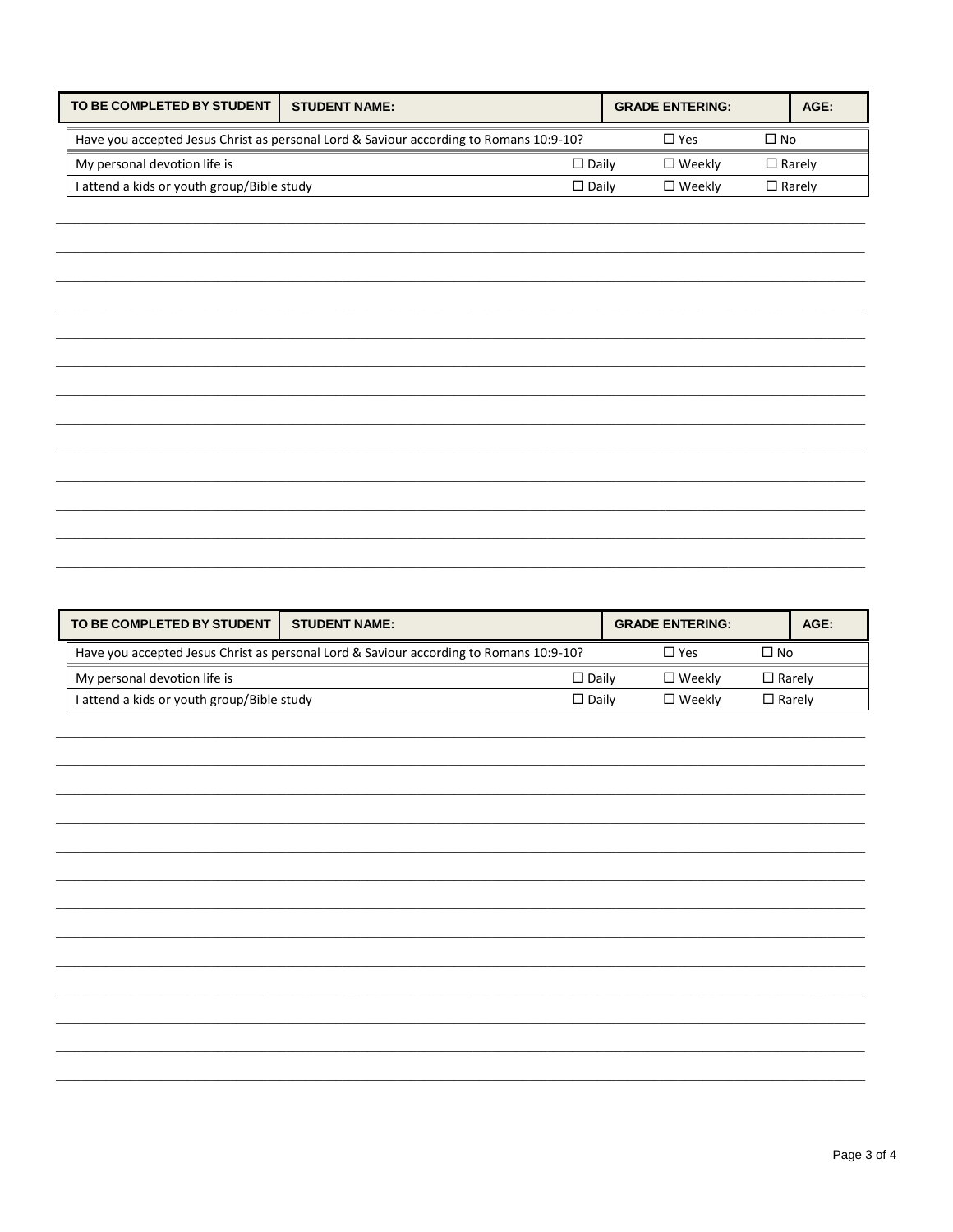| TO BE COMPLETED BY STUDENT                      | <b>STUDENT NAME:</b>                                                                   | <b>GRADE ENTERING:</b> | $AGE$ :       |
|-------------------------------------------------|----------------------------------------------------------------------------------------|------------------------|---------------|
|                                                 | Have you accepted Jesus Christ as personal Lord & Saviour according to Romans 10:9-10? | $\square$ Yes          | $\Box$ No     |
| My personal devotion life is<br>$\square$ Dailv |                                                                                        | $\square$ Weekly       | $\Box$ Rarelv |
| I attend a kids or youth group/Bible study      | $\Box$ Dailv                                                                           | $\Box$ Weekly          | l Rarelv      |

| TO BE COMPLETED BY STUDENT                                                                                        | <b>STUDENT NAME:</b> | <b>GRADE ENTERING:</b> | AGE:          |  |
|-------------------------------------------------------------------------------------------------------------------|----------------------|------------------------|---------------|--|
| $\Box$ No<br>Have you accepted Jesus Christ as personal Lord & Saviour according to Romans 10:9-10?<br>$\Box$ Yes |                      |                        |               |  |
| My personal devotion life is<br>$\square$ Dailv                                                                   |                      | $\square$ Weekly       | $\Box$ Rarely |  |
| I attend a kids or youth group/Bible study                                                                        | $\Box$ Dailv         | $\square$ Weekly       | $\Box$ Rarely |  |